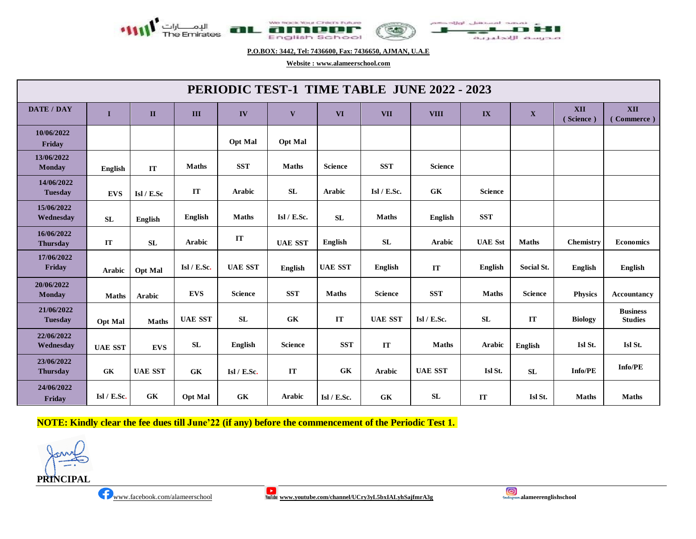

**P.O.BOX: 3442, Tel: 7436600, Fax: 7436650, AJMAN, U.A.E**

**Website : [www.alameerschool.com](http://www.alameerschool.com/)**

| PERIODIC TEST-1 TIME TABLE JUNE 2022 - 2023 |                  |                |                |                |                |                |                |                |                        |                |                         |                                   |
|---------------------------------------------|------------------|----------------|----------------|----------------|----------------|----------------|----------------|----------------|------------------------|----------------|-------------------------|-----------------------------------|
| <b>DATE / DAY</b>                           | $\mathbf I$      | $\mathbf{I}$   | III            | IV             | $\mathbf{V}$   | <b>VI</b>      | <b>VII</b>     | <b>VIII</b>    | $\mathbf{IX}$          | $\mathbf{X}$   | <b>XII</b><br>(Science) | XII<br>(Commerce)                 |
| 10/06/2022<br>Friday                        |                  |                |                | <b>Opt Mal</b> | <b>Opt Mal</b> |                |                |                |                        |                |                         |                                   |
| 13/06/2022<br><b>Monday</b>                 | <b>English</b>   | IT             | <b>Maths</b>   | <b>SST</b>     | <b>Maths</b>   | Science        | <b>SST</b>     | <b>Science</b> |                        |                |                         |                                   |
| 14/06/2022<br><b>Tuesday</b>                | <b>EVS</b>       | Isl / E.Sc     | $\bf IT$       | <b>Arabic</b>  | SL             | <b>Arabic</b>  | Isl / E.Sc.    | <b>GK</b>      | <b>Science</b>         |                |                         |                                   |
| 15/06/2022<br>Wednesday                     | ${\bf SL}$       | English        | <b>English</b> | <b>Maths</b>   | Isl $/$ E.Sc.  | SL             | <b>Maths</b>   | English        | <b>SST</b>             |                |                         |                                   |
| 16/06/2022<br><b>Thursday</b>               | IT               | <b>SL</b>      | <b>Arabic</b>  | IT             | <b>UAE SST</b> | English        | <b>SL</b>      | Arabic         | <b>UAE</b> Sst         | <b>Maths</b>   | Chemistry               | <b>Economics</b>                  |
| 17/06/2022<br>Friday                        | Arabic           | <b>Opt Mal</b> | Isl / E.Sc.    | <b>UAE SST</b> | <b>English</b> | <b>UAE SST</b> | <b>English</b> | IT             | <b>English</b>         | Social St.     | English                 | <b>English</b>                    |
| 20/06/2022<br><b>Monday</b>                 | <b>Maths</b>     | Arabic         | <b>EVS</b>     | <b>Science</b> | <b>SST</b>     | <b>Maths</b>   | <b>Science</b> | <b>SST</b>     | <b>Maths</b>           | <b>Science</b> | <b>Physics</b>          | <b>Accountancy</b>                |
| 21/06/2022<br><b>Tuesday</b>                | <b>Opt Mal</b>   | <b>Maths</b>   | <b>UAE SST</b> | SL             | <b>GK</b>      | IT             | <b>UAE SST</b> | Isl / E. Sc.   | SL                     | IT             | <b>Biology</b>          | <b>Business</b><br><b>Studies</b> |
| 22/06/2022<br>Wednesday                     | <b>UAE SST</b>   | <b>EVS</b>     | SL             | English        | <b>Science</b> | <b>SST</b>     | IT             | <b>Maths</b>   | Arabic                 | English        | Isl St.                 | Isl St.                           |
| 23/06/2022<br><b>Thursday</b>               | ${\bf G}{\bf K}$ | <b>UAE SST</b> | GK             | Isl $/$ E.Sc.  | IT             | <b>GK</b>      | <b>Arabic</b>  | <b>UAE SST</b> | Isl St.                | SL             | <b>Info/PE</b>          | $\mathbf{Info}/\mathbf{PE}$       |
| 24/06/2022<br>Friday                        | Isl / E.Sc.      | GK             | <b>Opt Mal</b> | <b>GK</b>      | Arabic         | Isl / E.Sc.    | GK             | ${\bf SL}$     | $\mathbf{I}\mathbf{T}$ | Isl St.        | <b>Maths</b>            | <b>Maths</b>                      |

**NOTE: Kindly clear the fee dues till June'22 (if any) before the commencement of the Periodic Test 1.**